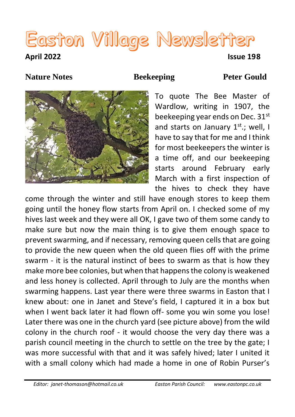# Easton Village Newsletter

#### **April 2022 Issue 198**

#### **Nature Notes Beekeeping Peter Gould**



To quote The Bee Master of Wardlow, writing in 1907, the beekeeping year ends on Dec. 31st and starts on January  $1^{st}$ .; well, I have to say that for me and I think for most beekeepers the winter is a time off, and our beekeeping starts around February early March with a first inspection of the hives to check they have

come through the winter and still have enough stores to keep them going until the honey flow starts from April on. I checked some of my hives last week and they were all OK, I gave two of them some candy to make sure but now the main thing is to give them enough space to prevent swarming, and if necessary, removing queen cells that are going to provide the new queen when the old queen flies off with the prime swarm - it is the natural instinct of bees to swarm as that is how they make more bee colonies, but when that happens the colony is weakened and less honey is collected. April through to July are the months when swarming happens. Last year there were three swarms in Easton that I knew about: one in Janet and Steve's field, I captured it in a box but when I went back later it had flown off- some you win some you lose! Later there was one in the church yard (see picture above) from the wild colony in the church roof - it would choose the very day there was a parish council meeting in the church to settle on the tree by the gate; I was more successful with that and it was safely hived; later I united it with a small colony which had made a home in one of Robin Purser's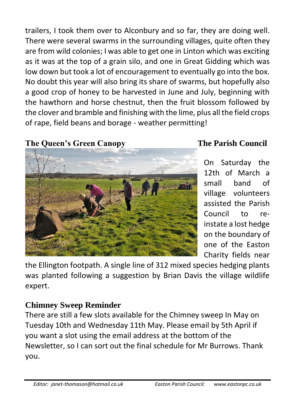trailers, I took them over to Alconbury and so far, they are doing well. There were several swarms in the surrounding villages, quite often they are from wild colonies; I was able to get one in Linton which was exciting as it was at the top of a grain silo, and one in Great Gidding which was low down but took a lot of encouragement to eventually go into the box. No doubt this year will also bring its share of swarms, but hopefully also a good crop of honey to be harvested in June and July, beginning with the hawthorn and horse chestnut, then the fruit blossom followed by the clover and bramble and finishing with the lime, plus all the field crops of rape, field beans and borage - weather permitting!

### **The Queen's Green Canopy The Parish Council**



On Saturday the 12th of March a small band of village volunteers assisted the Parish Council to reinstate a lost hedge on the boundary of one of the Easton Charity fields near

the Ellington footpath. A single line of 312 mixed species hedging plants was planted following a suggestion by Brian Davis the village wildlife expert.

### **Chimney Sweep Reminder**

There are still a few slots available for the Chimney sweep In May on Tuesday 10th and Wednesday 11th May. Please email by 5th April if you want a slot using the email address at the bottom of the Newsletter, so I can sort out the final schedule for Mr Burrows. Thank you.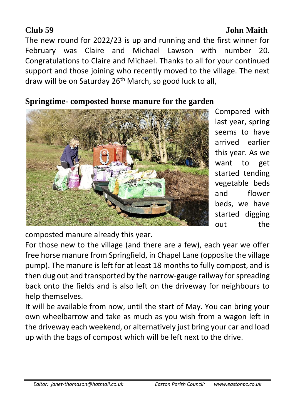### **Club 59 John Maith**

The new round for 2022/23 is up and running and the first winner for February was Claire and Michael Lawson with number 20. Congratulations to Claire and Michael. Thanks to all for your continued support and those joining who recently moved to the village. The next draw will be on Saturday 26th March, so good luck to all,

### **Springtime- composted horse manure for the garden**



Compared with last year, spring seems to have arrived earlier this year. As we want to get started tending vegetable beds and flower beds, we have started digging out the

composted manure already this year.

For those new to the village (and there are a few), each year we offer free horse manure from Springfield, in Chapel Lane (opposite the village pump). The manure is left for at least 18 months to fully compost, and is then dug out and transported by the narrow-gauge railway for spreading back onto the fields and is also left on the driveway for neighbours to help themselves.

It will be available from now, until the start of May. You can bring your own wheelbarrow and take as much as you wish from a wagon left in the driveway each weekend, or alternatively just bring your car and load up with the bags of compost which will be left next to the drive.